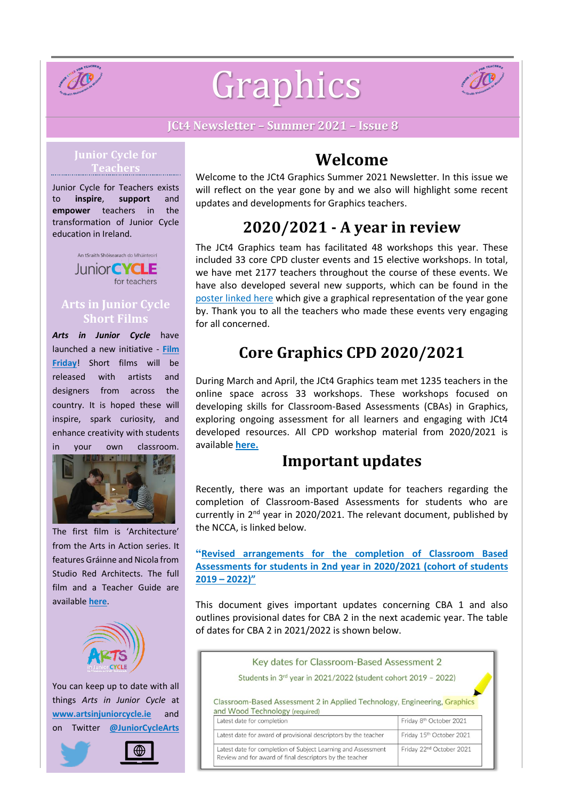

# Graphics



**JCt4 Newsletter – Summer 2021 – Issue 8**

#### **Junior Cycle for Teachers**

Junior Cycle for Teachers exists to **inspire**, **support** and **empower** teachers in the transformation of Junior Cycle education in Ireland.



#### **Arts in Junior Cycle Short Films**

*Arts in Junior Cycle* have launched a new initiative - **[Film](https://www.artsinjuniorcycle.ie/film) [Friday](https://www.artsinjuniorcycle.ie/film)**! Short films will be released with artists and designers from across the country. It is hoped these will inspire, spark curiosity, and enhance creativity with students in your own classroom.



The first film is 'Architecture' from the Arts in Action series. It features Gráinne and Nicola from Studio Red Architects. The full film and a Teacher Guide are available **[here](https://www.artsinjuniorcycle.ie/film)**.



You can keep up to date with all things *Arts in Junior Cycle* at **[www.artsinjuniorcycle.ie](http://www.artsinjuniorcycle.ie/)** and on Twitter **[@JuniorCycleArts](https://twitter.com/JuniorCycleArts)**



# **Welcome**

Welcome to the JCt4 Graphics Summer 2021 Newsletter. In this issue we will reflect on the year gone by and we also will highlight some recent updates and developments for Graphics teachers.

# **2020/2021 - A year in review**

The JCt4 Graphics team has facilitated 48 workshops this year. These included 33 core CPD cluster events and 15 elective workshops. In total, we have met 2177 teachers throughout the course of these events. We have also developed several new supports, which can be found in the [poster](https://drive.google.com/file/d/1NPPze2KPEfFMvZ6AzfoiB5TlvdE0jApB/view) linked here which give a graphical representation of the year gone by. Thank you to all the teachers who made these events very engaging for all concerned.

# **Core Graphics CPD 2020/2021**

During March and April, the JCt4 Graphics team met 1235 teachers in the online space across 33 workshops. These workshops focused on developing skills for Classroom-Based Assessments (CBAs) in Graphics, exploring ongoing assessment for all learners and engaging with JCt4 developed resources. All CPD workshop material from 2020/2021 is available **[here.](https://www.jct.ie/technologies/cpd_supports_graphics_cpd_workshops_2020_2021#CPDPresentationPart1)**

## **Important updates**

Recently, there was an important update for teachers regarding the completion of Classroom-Based Assessments for students who are currently in 2<sup>nd</sup> year in 2020/2021. The relevant document, published by the NCCA, is linked below.

**"Revised [arrangements](https://ncca.ie/media/4986/revised-arrangements-for-classroom-based-assessments-for-students-in-second-year-in-2020-2021.pdf) for the completion of Classroom Based [Assessments](https://ncca.ie/media/4986/revised-arrangements-for-classroom-based-assessments-for-students-in-second-year-in-2020-2021.pdf) for students in 2nd year in 2020/2021 (cohort of students 2019 – [2022\)](https://ncca.ie/media/4986/revised-arrangements-for-classroom-based-assessments-for-students-in-second-year-in-2020-2021.pdf)"**

This document gives important updates concerning CBA 1 and also outlines provisional dates for CBA 2 in the next academic year. The table of dates for CBA 2 in 2021/2022 is shown below.

| Key dates for Classroom-Based Assessment 2                                                                                                |                                      |
|-------------------------------------------------------------------------------------------------------------------------------------------|--------------------------------------|
| Students in 3rd year in 2021/2022 (student cohort 2019 - 2022)                                                                            |                                      |
| Classroom-Based Assessment 2 in Applied Technology, Engineering, Graphics<br>and Wood Technology (required)<br>Latest date for completion | Friday 8th October 2021              |
| Latest date for award of provisional descriptors by the teacher                                                                           | Friday 15th October 2021             |
| Latest date for completion of Subject Learning and Assessment<br>Review and for award of final descriptors by the teacher                 | Friday 22 <sup>nd</sup> October 2021 |